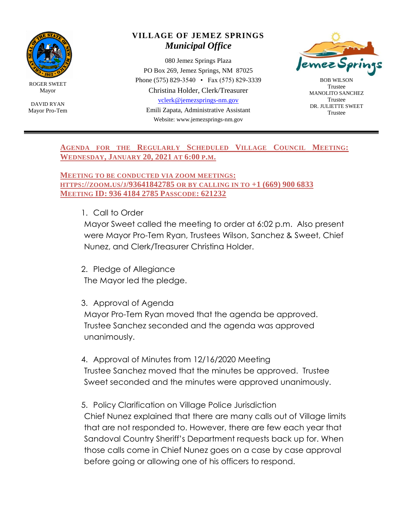

ROGER SWEET Mayor

DAVID RYAN Mayor Pro-Tem

## **VILLAGE OF JEMEZ SPRINGS** *Municipal Office*

080 Jemez Springs Plaza PO Box 269, Jemez Springs, NM 87025 Phone (575) 829-3540 • Fax (575) 829-3339 Christina Holder, Clerk/Treasurer [vclerk@jemezsprings-nm.gov](mailto:vclerk@jemezsprings-nm.gov) Emili Zapata, Administrative Assistant Website: www.jemezsprings-nm.gov



BOB WILSON Trustee MANOLITO SANCHEZ Trustee DR. JULIETTE SWEET Trustee

## **AGENDA FOR THE REGULARLY SCHEDULED VILLAGE COUNCIL MEETING: WEDNESDAY, JANUARY 20, 2021 AT 6:00 P.M.**

## **MEETING TO BE CONDUCTED VIA ZOOM MEETINGS: HTTPS://ZOOM.US/J/93641842785 OR BY CALLING IN TO +1 (669) 900 6833 MEETING ID: 936 4184 2785 PASSCODE: 621232**

1. Call to Order

Mayor Sweet called the meeting to order at 6:02 p.m. Also present were Mayor Pro-Tem Ryan, Trustees Wilson, Sanchez & Sweet, Chief Nunez, and Clerk/Treasurer Christina Holder.

- 2. Pledge of Allegiance The Mayor led the pledge.
- 3. Approval of Agenda

Mayor Pro-Tem Ryan moved that the agenda be approved. Trustee Sanchez seconded and the agenda was approved unanimously.

- 4. Approval of Minutes from 12/16/2020 Meeting Trustee Sanchez moved that the minutes be approved. Trustee Sweet seconded and the minutes were approved unanimously.
- 5. Policy Clarification on Village Police Jurisdiction Chief Nunez explained that there are many calls out of Village limits that are not responded to. However, there are few each year that Sandoval Country Sheriff's Department requests back up for. When those calls come in Chief Nunez goes on a case by case approval before going or allowing one of his officers to respond.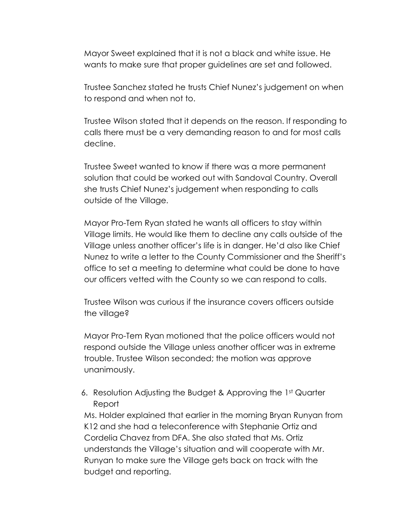Mayor Sweet explained that it is not a black and white issue. He wants to make sure that proper guidelines are set and followed.

Trustee Sanchez stated he trusts Chief Nunez's judgement on when to respond and when not to.

Trustee Wilson stated that it depends on the reason. If responding to calls there must be a very demanding reason to and for most calls decline.

Trustee Sweet wanted to know if there was a more permanent solution that could be worked out with Sandoval Country. Overall she trusts Chief Nunez's judgement when responding to calls outside of the Village.

Mayor Pro-Tem Ryan stated he wants all officers to stay within Village limits. He would like them to decline any calls outside of the Village unless another officer's life is in danger. He'd also like Chief Nunez to write a letter to the County Commissioner and the Sheriff's office to set a meeting to determine what could be done to have our officers vetted with the County so we can respond to calls.

Trustee Wilson was curious if the insurance covers officers outside the village?

Mayor Pro-Tem Ryan motioned that the police officers would not respond outside the Village unless another officer was in extreme trouble. Trustee Wilson seconded; the motion was approve unanimously.

6. Resolution Adjusting the Budget & Approving the 1st Quarter Report

Ms. Holder explained that earlier in the morning Bryan Runyan from K12 and she had a teleconference with Stephanie Ortiz and Cordelia Chavez from DFA. She also stated that Ms. Ortiz understands the Village's situation and will cooperate with Mr. Runyan to make sure the Village gets back on track with the budget and reporting.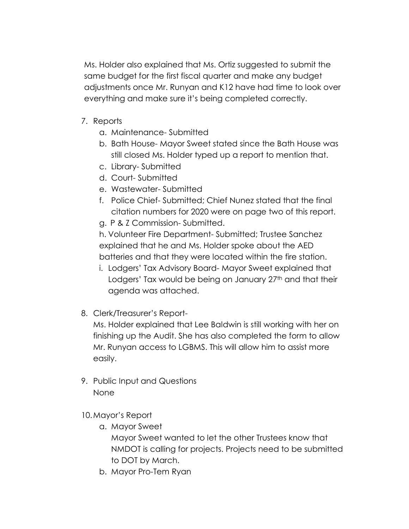Ms. Holder also explained that Ms. Ortiz suggested to submit the same budget for the first fiscal quarter and make any budget adjustments once Mr. Runyan and K12 have had time to look over everything and make sure it's being completed correctly.

- 7. Reports
	- a. Maintenance- Submitted
	- b. Bath House- Mayor Sweet stated since the Bath House was still closed Ms. Holder typed up a report to mention that.
	- c. Library- Submitted
	- d. Court- Submitted
	- e. Wastewater- Submitted
	- f. Police Chief- Submitted; Chief Nunez stated that the final citation numbers for 2020 were on page two of this report.
	- g. P & Z Commission- Submitted.

h. Volunteer Fire Department- Submitted; Trustee Sanchez explained that he and Ms. Holder spoke about the AED batteries and that they were located within the fire station.

- i. Lodgers' Tax Advisory Board- Mayor Sweet explained that Lodgers' Tax would be being on January 27<sup>th</sup> and that their agenda was attached.
- 8. Clerk/Treasurer's Report-

Ms. Holder explained that Lee Baldwin is still working with her on finishing up the Audit. She has also completed the form to allow Mr. Runyan access to LGBMS. This will allow him to assist more easily.

- 9. Public Input and Questions None
- 10.Mayor's Report
	- a. Mayor Sweet

Mayor Sweet wanted to let the other Trustees know that NMDOT is calling for projects. Projects need to be submitted to DOT by March.

b. Mayor Pro-Tem Ryan